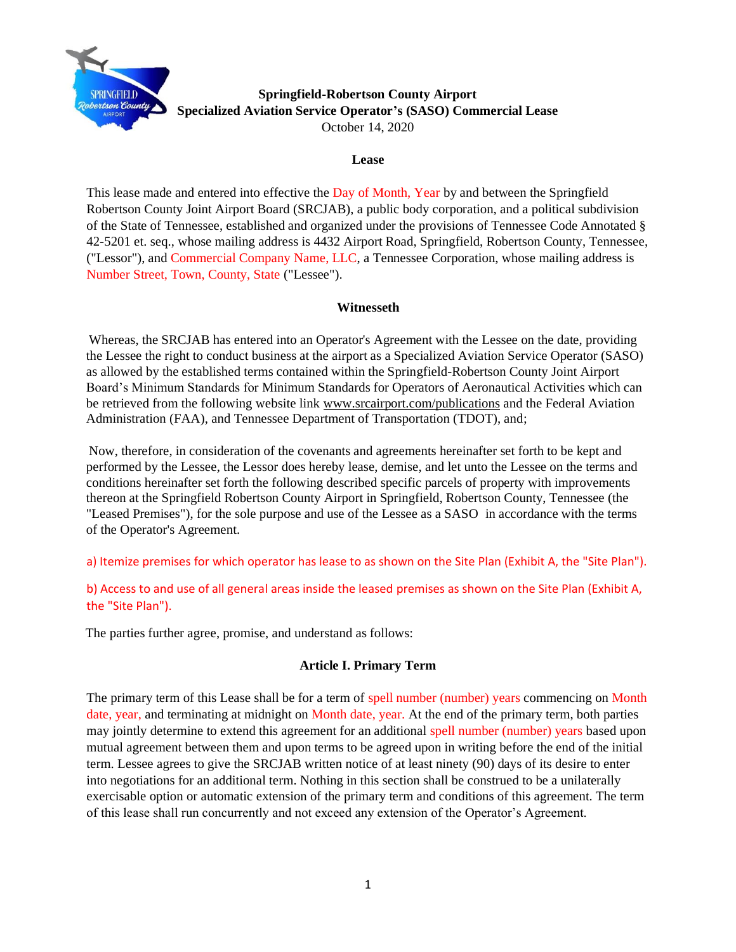

## **Springfield-Robertson County Airport Specialized Aviation Service Operator's (SASO) Commercial Lease**  October 14, 2020

### **Lease**

This lease made and entered into effective the Day of Month, Year by and between the Springfield Robertson County Joint Airport Board (SRCJAB), a public body corporation, and a political subdivision of the State of Tennessee, established and organized under the provisions of Tennessee Code Annotated § 42-5201 et. seq., whose mailing address is 4432 Airport Road, Springfield, Robertson County, Tennessee, ("Lessor"), and Commercial Company Name, LLC, a Tennessee Corporation, whose mailing address is Number Street, Town, County, State ("Lessee").

## **Witnesseth**

Whereas, the SRCJAB has entered into an Operator's Agreement with the Lessee on the date, providing the Lessee the right to conduct business at the airport as a Specialized Aviation Service Operator (SASO) as allowed by the established terms contained within the Springfield-Robertson County Joint Airport Board's Minimum Standards for Minimum Standards for Operators of Aeronautical Activities which can be retrieved from the following website link www[.srcairport.com/publications](https://www.srcairport.com/airport-publications) and the Federal Aviation Administration (FAA), and Tennessee Department of Transportation (TDOT), and;

Now, therefore, in consideration of the covenants and agreements hereinafter set forth to be kept and performed by the Lessee, the Lessor does hereby lease, demise, and let unto the Lessee on the terms and conditions hereinafter set forth the following described specific parcels of property with improvements thereon at the Springfield Robertson County Airport in Springfield, Robertson County, Tennessee (the "Leased Premises"), for the sole purpose and use of the Lessee as a SASO in accordance with the terms of the Operator's Agreement.

a) Itemize premises for which operator has lease to as shown on the Site Plan (Exhibit A, the "Site Plan").

b) Access to and use of all general areas inside the leased premises as shown on the Site Plan (Exhibit A, the "Site Plan").

The parties further agree, promise, and understand as follows:

## **Article I. Primary Term**

The primary term of this Lease shall be for a term of spell number (number) years commencing on Month date, year, and terminating at midnight on Month date, year. At the end of the primary term, both parties may jointly determine to extend this agreement for an additional spell number (number) years based upon mutual agreement between them and upon terms to be agreed upon in writing before the end of the initial term. Lessee agrees to give the SRCJAB written notice of at least ninety (90) days of its desire to enter into negotiations for an additional term. Nothing in this section shall be construed to be a unilaterally exercisable option or automatic extension of the primary term and conditions of this agreement. The term of this lease shall run concurrently and not exceed any extension of the Operator's Agreement.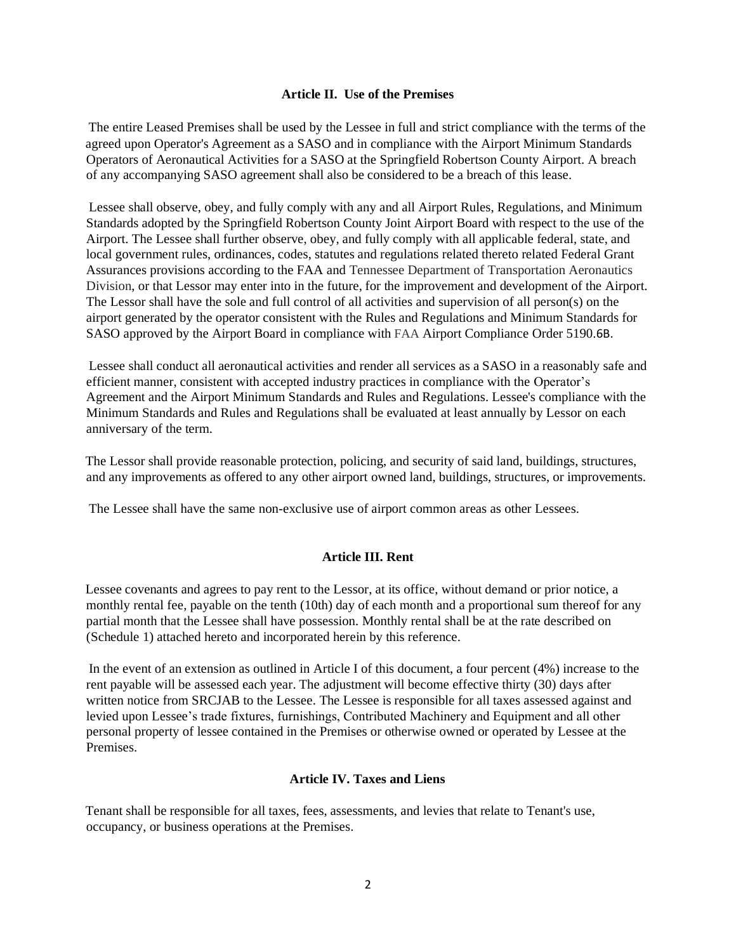### **Article II. Use of the Premises**

The entire Leased Premises shall be used by the Lessee in full and strict compliance with the terms of the agreed upon Operator's Agreement as a SASO and in compliance with the Airport [Minimum Standards](https://www.srcairport.com/airport-publications) Operators of Aeronautical Activities for a SASO at the Springfield Robertson County Airport. A breach of any accompanying SASO agreement shall also be considered to be a breach of this lease.

Lessee shall observe, obey, and fully comply with any and all Airport Rules, Regulations, and Minimum Standards adopted by the Springfield Robertson County Joint Airport Board with respect to the use of the Airport. The Lessee shall further observe, obey, and fully comply with all applicable federal, state, and local government rules, ordinances, codes, statutes and regulations related thereto related Federal Grant Assurances provisions according to the FAA and Tennessee Department of Transportation Aeronautics Division, or that Lessor may enter into in the future, for the improvement and development of the Airport. The Lessor shall have the sole and full control of all activities and supervision of all person(s) on the airport generated by the operator consistent with the Rules and Regulations and Minimum Standards for SASO approved by the Airport Board in compliance with FAA Airport Compliance Order 5190.6B.

Lessee shall conduct all aeronautical activities and render all services as a SASO in a reasonably safe and efficient manner, consistent with accepted industry practices in compliance with the Operator's Agreement and the Airport Minimum Standards and Rules and Regulations. Lessee's compliance with the Minimum Standards and Rules and Regulations shall be evaluated at least annually by Lessor on each anniversary of the term.

The Lessor shall provide reasonable protection, policing, and security of said land, buildings, structures, and any improvements as offered to any other airport owned land, buildings, structures, or improvements.

The Lessee shall have the same non-exclusive use of airport common areas as other Lessees.

### **Article III. Rent**

Lessee covenants and agrees to pay rent to the Lessor, at its office, without demand or prior notice, a monthly rental fee, payable on the tenth (10th) day of each month and a proportional sum thereof for any partial month that the Lessee shall have possession. Monthly rental shall be at the rate described on (Schedule 1) attached hereto and incorporated herein by this reference.

In the event of an extension as outlined in Article I of this document, a four percent (4%) increase to the rent payable will be assessed each year. The adjustment will become effective thirty (30) days after written notice from SRCJAB to the Lessee. The Lessee is responsible for all taxes assessed against and levied upon Lessee's trade fixtures, furnishings, Contributed Machinery and Equipment and all other personal property of lessee contained in the Premises or otherwise owned or operated by Lessee at the Premises.

### **Article IV. Taxes and Liens**

Tenant shall be responsible for all taxes, fees, assessments, and levies that relate to Tenant's use, occupancy, or business operations at the Premises.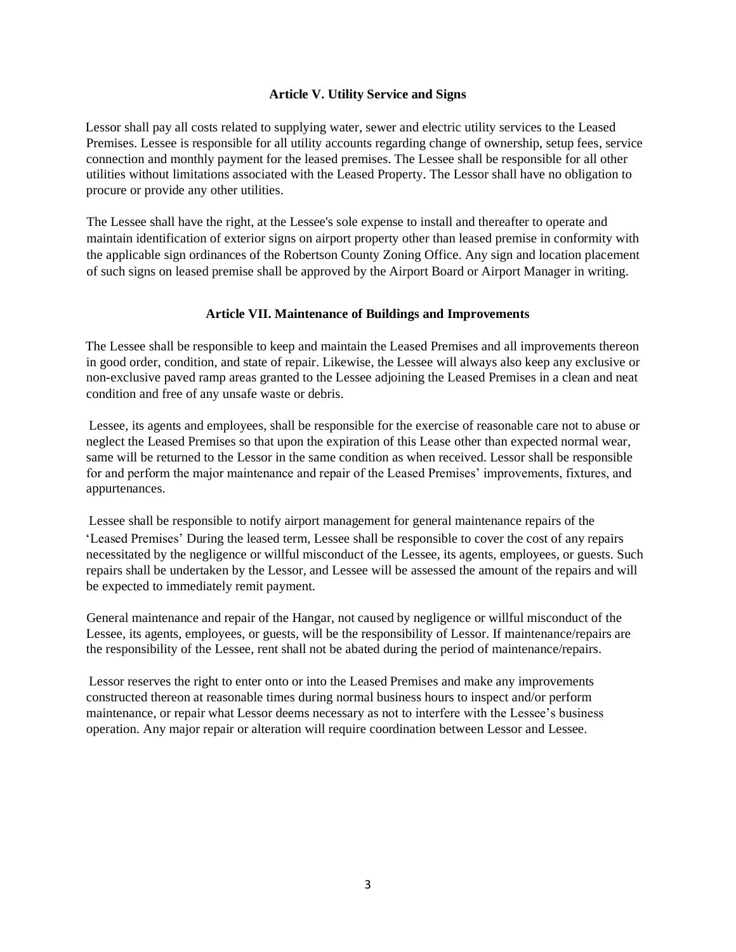### **Article V. Utility Service and Signs**

Lessor shall pay all costs related to supplying water, sewer and electric utility services to the Leased Premises. Lessee is responsible for all utility accounts regarding change of ownership, setup fees, service connection and monthly payment for the leased premises. The Lessee shall be responsible for all other utilities without limitations associated with the Leased Property. The Lessor shall have no obligation to procure or provide any other utilities.

The Lessee shall have the right, at the Lessee's sole expense to install and thereafter to operate and maintain identification of exterior signs on airport property other than leased premise in conformity with the applicable sign ordinances of the Robertson County Zoning Office. Any sign and location placement of such signs on leased premise shall be approved by the Airport Board or Airport Manager in writing.

### **Article VII. Maintenance of Buildings and Improvements**

The Lessee shall be responsible to keep and maintain the Leased Premises and all improvements thereon in good order, condition, and state of repair. Likewise, the Lessee will always also keep any exclusive or non-exclusive paved ramp areas granted to the Lessee adjoining the Leased Premises in a clean and neat condition and free of any unsafe waste or debris.

Lessee, its agents and employees, shall be responsible for the exercise of reasonable care not to abuse or neglect the Leased Premises so that upon the expiration of this Lease other than expected normal wear, same will be returned to the Lessor in the same condition as when received. Lessor shall be responsible for and perform the major maintenance and repair of the Leased Premises' improvements, fixtures, and appurtenances.

Lessee shall be responsible to notify airport management for general maintenance repairs of the 'Leased Premises' During the leased term, Lessee shall be responsible to cover the cost of any repairs necessitated by the negligence or willful misconduct of the Lessee, its agents, employees, or guests. Such repairs shall be undertaken by the Lessor, and Lessee will be assessed the amount of the repairs and will be expected to immediately remit payment.

General maintenance and repair of the Hangar, not caused by negligence or willful misconduct of the Lessee, its agents, employees, or guests, will be the responsibility of Lessor. If maintenance/repairs are the responsibility of the Lessee, rent shall not be abated during the period of maintenance/repairs.

Lessor reserves the right to enter onto or into the Leased Premises and make any improvements constructed thereon at reasonable times during normal business hours to inspect and/or perform maintenance, or repair what Lessor deems necessary as not to interfere with the Lessee's business operation. Any major repair or alteration will require coordination between Lessor and Lessee.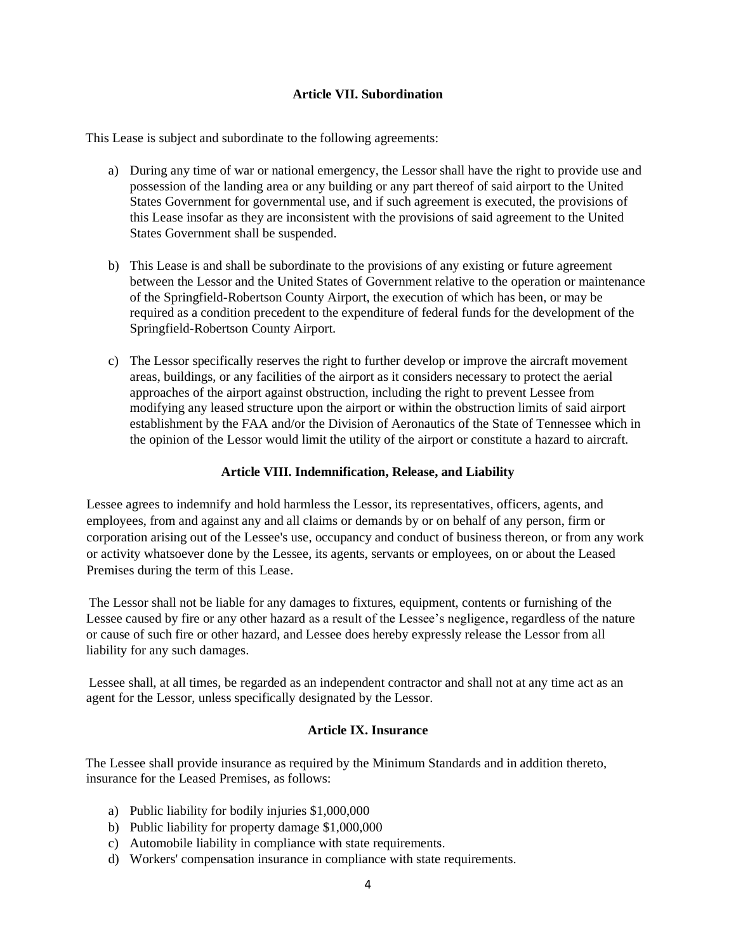### **Article VII. Subordination**

This Lease is subject and subordinate to the following agreements:

- a) During any time of war or national emergency, the Lessor shall have the right to provide use and possession of the landing area or any building or any part thereof of said airport to the United States Government for governmental use, and if such agreement is executed, the provisions of this Lease insofar as they are inconsistent with the provisions of said agreement to the United States Government shall be suspended.
- b) This Lease is and shall be subordinate to the provisions of any existing or future agreement between the Lessor and the United States of Government relative to the operation or maintenance of the Springfield-Robertson County Airport, the execution of which has been, or may be required as a condition precedent to the expenditure of federal funds for the development of the Springfield-Robertson County Airport.
- c) The Lessor specifically reserves the right to further develop or improve the aircraft movement areas, buildings, or any facilities of the airport as it considers necessary to protect the aerial approaches of the airport against obstruction, including the right to prevent Lessee from modifying any leased structure upon the airport or within the obstruction limits of said airport establishment by the FAA and/or the Division of Aeronautics of the State of Tennessee which in the opinion of the Lessor would limit the utility of the airport or constitute a hazard to aircraft.

### **Article VIII. Indemnification, Release, and Liability**

Lessee agrees to indemnify and hold harmless the Lessor, its representatives, officers, agents, and employees, from and against any and all claims or demands by or on behalf of any person, firm or corporation arising out of the Lessee's use, occupancy and conduct of business thereon, or from any work or activity whatsoever done by the Lessee, its agents, servants or employees, on or about the Leased Premises during the term of this Lease.

The Lessor shall not be liable for any damages to fixtures, equipment, contents or furnishing of the Lessee caused by fire or any other hazard as a result of the Lessee's negligence, regardless of the nature or cause of such fire or other hazard, and Lessee does hereby expressly release the Lessor from all liability for any such damages.

Lessee shall, at all times, be regarded as an independent contractor and shall not at any time act as an agent for the Lessor, unless specifically designated by the Lessor.

### **Article IX. Insurance**

The Lessee shall provide insurance as required by the Minimum Standards and in addition thereto, insurance for the Leased Premises, as follows:

- a) Public liability for bodily injuries \$1,000,000
- b) Public liability for property damage \$1,000,000
- c) Automobile liability in compliance with state requirements.
- d) Workers' compensation insurance in compliance with state requirements.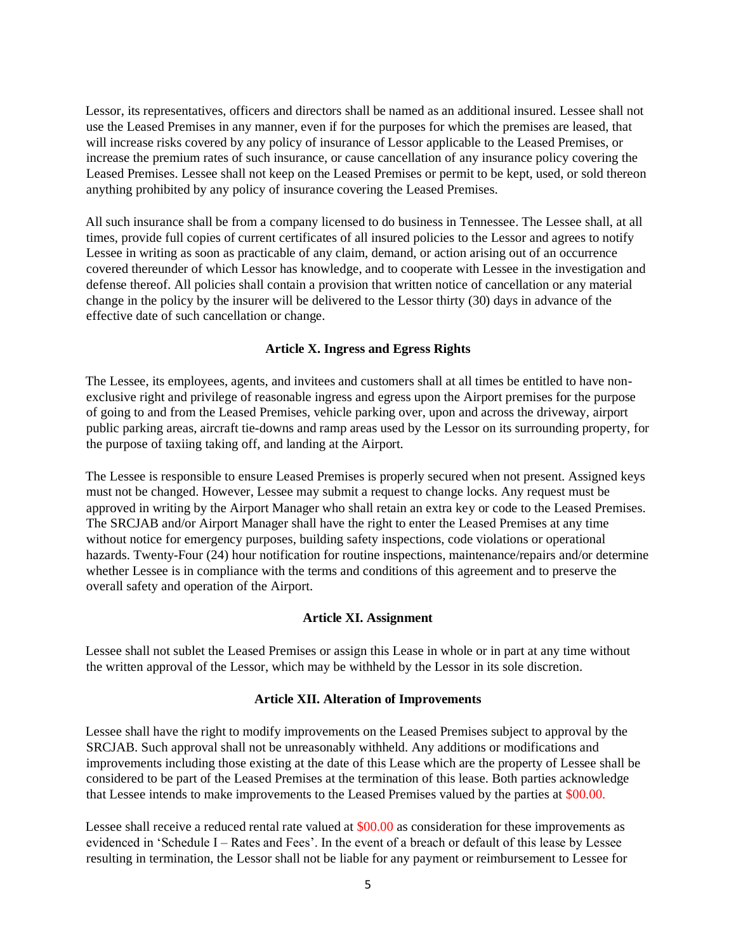Lessor, its representatives, officers and directors shall be named as an additional insured. Lessee shall not use the Leased Premises in any manner, even if for the purposes for which the premises are leased, that will increase risks covered by any policy of insurance of Lessor applicable to the Leased Premises, or increase the premium rates of such insurance, or cause cancellation of any insurance policy covering the Leased Premises. Lessee shall not keep on the Leased Premises or permit to be kept, used, or sold thereon anything prohibited by any policy of insurance covering the Leased Premises.

All such insurance shall be from a company licensed to do business in Tennessee. The Lessee shall, at all times, provide full copies of current certificates of all insured policies to the Lessor and agrees to notify Lessee in writing as soon as practicable of any claim, demand, or action arising out of an occurrence covered thereunder of which Lessor has knowledge, and to cooperate with Lessee in the investigation and defense thereof. All policies shall contain a provision that written notice of cancellation or any material change in the policy by the insurer will be delivered to the Lessor thirty (30) days in advance of the effective date of such cancellation or change.

### **Article X. Ingress and Egress Rights**

The Lessee, its employees, agents, and invitees and customers shall at all times be entitled to have nonexclusive right and privilege of reasonable ingress and egress upon the Airport premises for the purpose of going to and from the Leased Premises, vehicle parking over, upon and across the driveway, airport public parking areas, aircraft tie-downs and ramp areas used by the Lessor on its surrounding property, for the purpose of taxiing taking off, and landing at the Airport.

The Lessee is responsible to ensure Leased Premises is properly secured when not present. Assigned keys must not be changed. However, Lessee may submit a request to change locks. Any request must be approved in writing by the Airport Manager who shall retain an extra key or code to the Leased Premises. The SRCJAB and/or Airport Manager shall have the right to enter the Leased Premises at any time without notice for emergency purposes, building safety inspections, code violations or operational hazards. Twenty-Four (24) hour notification for routine inspections, maintenance/repairs and/or determine whether Lessee is in compliance with the terms and conditions of this agreement and to preserve the overall safety and operation of the Airport.

### **Article XI. Assignment**

Lessee shall not sublet the Leased Premises or assign this Lease in whole or in part at any time without the written approval of the Lessor, which may be withheld by the Lessor in its sole discretion.

#### **Article XII. Alteration of Improvements**

Lessee shall have the right to modify improvements on the Leased Premises subject to approval by the SRCJAB. Such approval shall not be unreasonably withheld. Any additions or modifications and improvements including those existing at the date of this Lease which are the property of Lessee shall be considered to be part of the Leased Premises at the termination of this lease. Both parties acknowledge that Lessee intends to make improvements to the Leased Premises valued by the parties at \$00.00.

Lessee shall receive a reduced rental rate valued at \$00.00 as consideration for these improvements as evidenced in 'Schedule I – Rates and Fees'. In the event of a breach or default of this lease by Lessee resulting in termination, the Lessor shall not be liable for any payment or reimbursement to Lessee for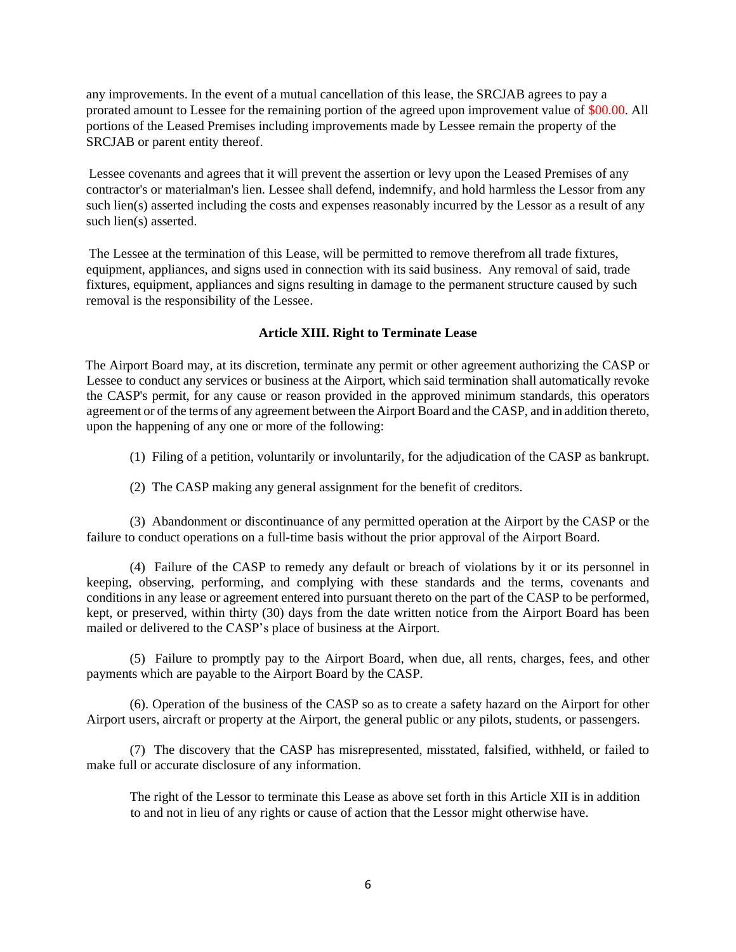any improvements. In the event of a mutual cancellation of this lease, the SRCJAB agrees to pay a prorated amount to Lessee for the remaining portion of the agreed upon improvement value of \$00.00. All portions of the Leased Premises including improvements made by Lessee remain the property of the SRCJAB or parent entity thereof.

Lessee covenants and agrees that it will prevent the assertion or levy upon the Leased Premises of any contractor's or materialman's lien. Lessee shall defend, indemnify, and hold harmless the Lessor from any such lien(s) asserted including the costs and expenses reasonably incurred by the Lessor as a result of any such lien(s) asserted.

The Lessee at the termination of this Lease, will be permitted to remove therefrom all trade fixtures, equipment, appliances, and signs used in connection with its said business. Any removal of said, trade fixtures, equipment, appliances and signs resulting in damage to the permanent structure caused by such removal is the responsibility of the Lessee.

### **Article XIII. Right to Terminate Lease**

The Airport Board may, at its discretion, terminate any permit or other agreement authorizing the CASP or Lessee to conduct any services or business at the Airport, which said termination shall automatically revoke the CASP's permit, for any cause or reason provided in the approved minimum standards, this operators agreement or of the terms of any agreement between the Airport Board and the CASP, and in addition thereto, upon the happening of any one or more of the following:

(1) Filing of a petition, voluntarily or involuntarily, for the adjudication of the CASP as bankrupt.

(2) The CASP making any general assignment for the benefit of creditors.

(3) Abandonment or discontinuance of any permitted operation at the Airport by the CASP or the failure to conduct operations on a full-time basis without the prior approval of the Airport Board.

(4) Failure of the CASP to remedy any default or breach of violations by it or its personnel in keeping, observing, performing, and complying with these standards and the terms, covenants and conditions in any lease or agreement entered into pursuant thereto on the part of the CASP to be performed, kept, or preserved, within thirty (30) days from the date written notice from the Airport Board has been mailed or delivered to the CASP's place of business at the Airport.

(5) Failure to promptly pay to the Airport Board, when due, all rents, charges, fees, and other payments which are payable to the Airport Board by the CASP.

(6). Operation of the business of the CASP so as to create a safety hazard on the Airport for other Airport users, aircraft or property at the Airport, the general public or any pilots, students, or passengers.

(7) The discovery that the CASP has misrepresented, misstated, falsified, withheld, or failed to make full or accurate disclosure of any information.

The right of the Lessor to terminate this Lease as above set forth in this Article XII is in addition to and not in lieu of any rights or cause of action that the Lessor might otherwise have.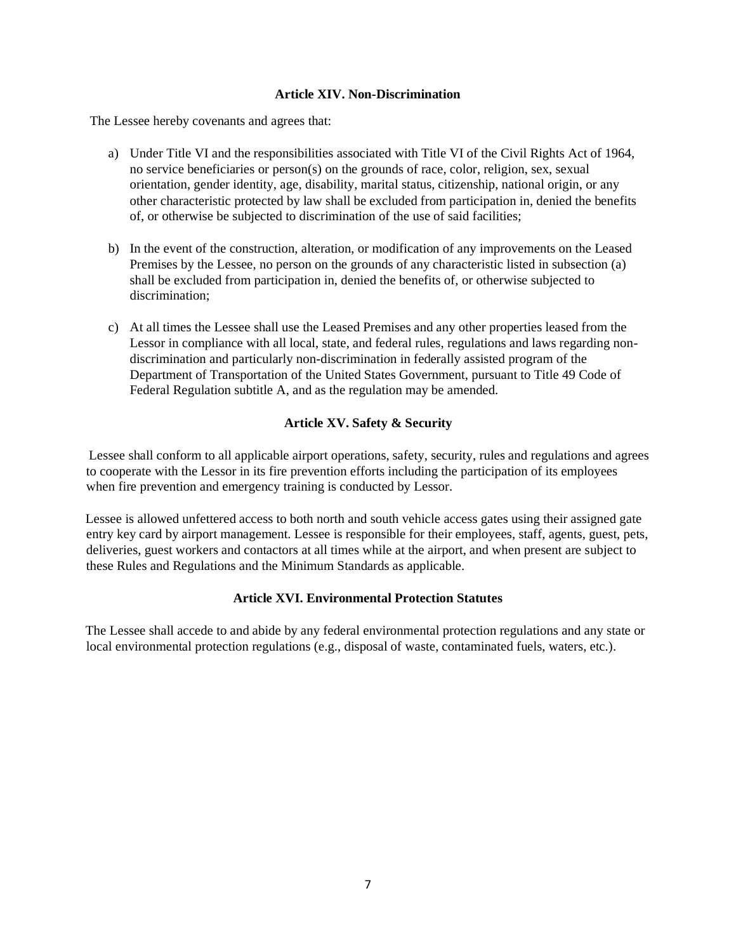### **Article XIV. Non-Discrimination**

The Lessee hereby covenants and agrees that:

- a) Under Title VI and the responsibilities associated with Title VI of the Civil Rights Act of 1964, no service beneficiaries or person(s) on the grounds of race, color, religion, sex, sexual orientation, gender identity, age, disability, marital status, citizenship, national origin, or any other characteristic protected by law shall be excluded from participation in, denied the benefits of, or otherwise be subjected to discrimination of the use of said facilities;
- b) In the event of the construction, alteration, or modification of any improvements on the Leased Premises by the Lessee, no person on the grounds of any characteristic listed in subsection (a) shall be excluded from participation in, denied the benefits of, or otherwise subjected to discrimination;
- c) At all times the Lessee shall use the Leased Premises and any other properties leased from the Lessor in compliance with all local, state, and federal rules, regulations and laws regarding nondiscrimination and particularly non-discrimination in federally assisted program of the Department of Transportation of the United States Government, pursuant to Title 49 Code of Federal Regulation subtitle A, and as the regulation may be amended.

## **Article XV. Safety & Security**

Lessee shall conform to all applicable airport operations, safety, security, rules and regulations and agrees to cooperate with the Lessor in its fire prevention efforts including the participation of its employees when fire prevention and emergency training is conducted by Lessor.

Lessee is allowed unfettered access to both north and south vehicle access gates using their assigned gate entry key card by airport management. Lessee is responsible for their employees, staff, agents, guest, pets, deliveries, guest workers and contactors at all times while at the airport, and when present are subject to these Rules and Regulations and the Minimum Standards as applicable.

### **Article XVI. Environmental Protection Statutes**

The Lessee shall accede to and abide by any federal environmental protection regulations and any state or local environmental protection regulations (e.g., disposal of waste, contaminated fuels, waters, etc.).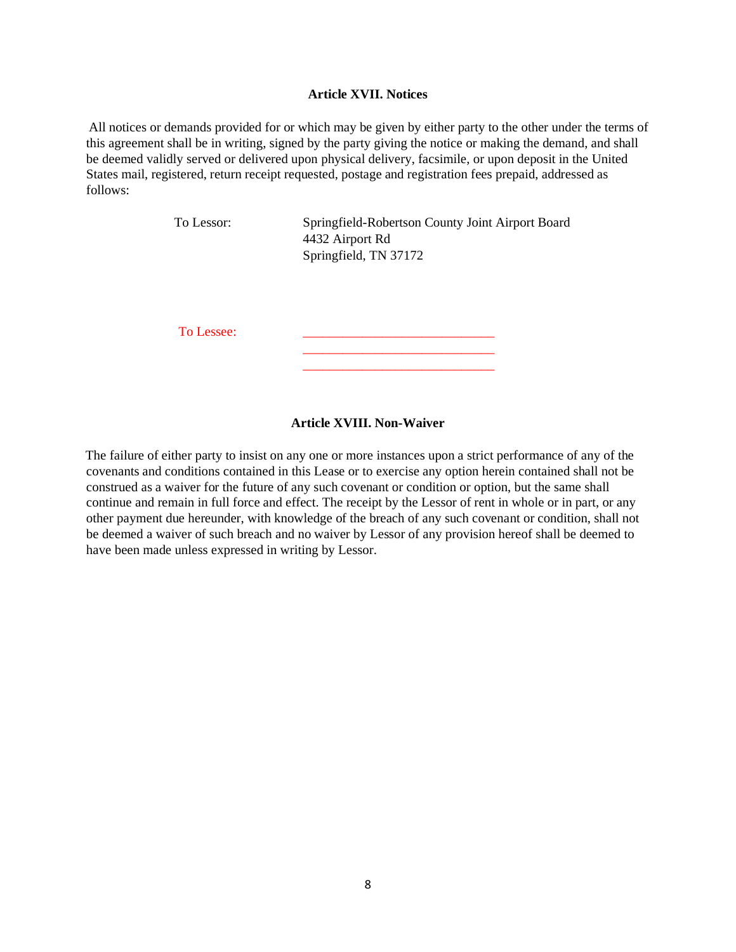### **Article XVII. Notices**

All notices or demands provided for or which may be given by either party to the other under the terms of this agreement shall be in writing, signed by the party giving the notice or making the demand, and shall be deemed validly served or delivered upon physical delivery, facsimile, or upon deposit in the United States mail, registered, return receipt requested, postage and registration fees prepaid, addressed as follows:

| To Lessor: | Springfield-Robertson County Joint Airport Board<br>4432 Airport Rd<br>Springfield, TN 37172 |  |
|------------|----------------------------------------------------------------------------------------------|--|
| To Lessee: |                                                                                              |  |

### **Article XVIII. Non-Waiver**

\_\_\_\_\_\_\_\_\_\_\_\_\_\_\_\_\_\_\_\_\_\_\_\_\_\_\_\_\_

The failure of either party to insist on any one or more instances upon a strict performance of any of the covenants and conditions contained in this Lease or to exercise any option herein contained shall not be construed as a waiver for the future of any such covenant or condition or option, but the same shall continue and remain in full force and effect. The receipt by the Lessor of rent in whole or in part, or any other payment due hereunder, with knowledge of the breach of any such covenant or condition, shall not be deemed a waiver of such breach and no waiver by Lessor of any provision hereof shall be deemed to have been made unless expressed in writing by Lessor.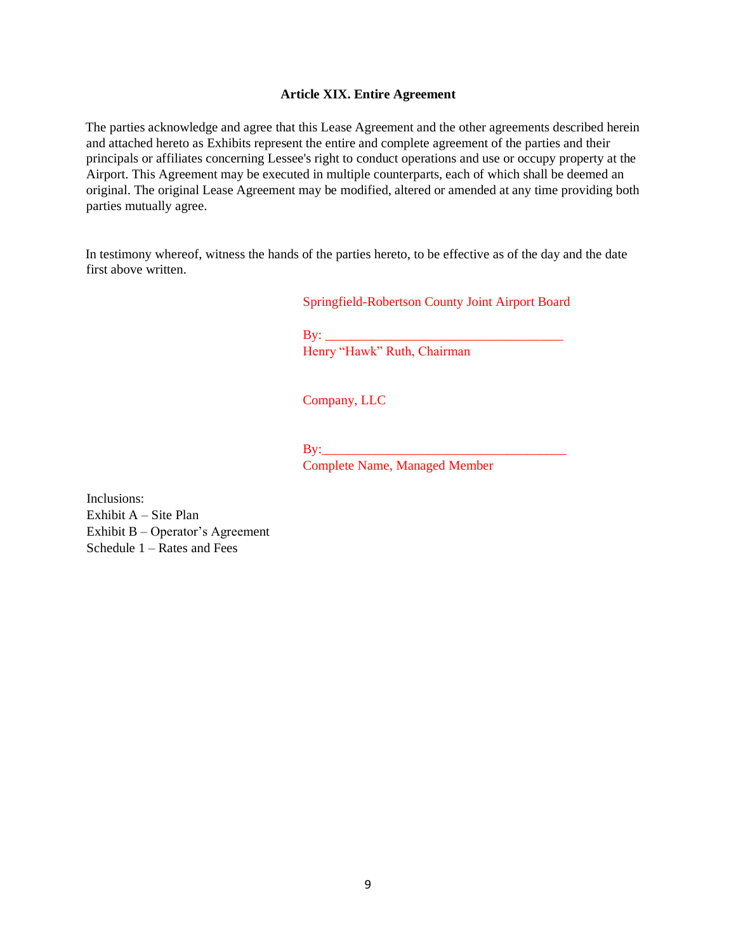### **Article XIX. Entire Agreement**

The parties acknowledge and agree that this Lease Agreement and the other agreements described herein and attached hereto as Exhibits represent the entire and complete agreement of the parties and their principals or affiliates concerning Lessee's right to conduct operations and use or occupy property at the Airport. This Agreement may be executed in multiple counterparts, each of which shall be deemed an original. The original Lease Agreement may be modified, altered or amended at any time providing both parties mutually agree.

In testimony whereof, witness the hands of the parties hereto, to be effective as of the day and the date first above written.

Springfield-Robertson County Joint Airport Board

 $\mathbf{B} \mathbf{y}$ : Henry "Hawk" Ruth, Chairman

Company, LLC

By:\_\_\_\_\_\_\_\_\_\_\_\_\_\_\_\_\_\_\_\_\_\_\_\_\_\_\_\_\_\_\_\_\_\_\_\_\_

Complete Name, Managed Member

Inclusions: Exhibit A – Site Plan Exhibit B – Operator's Agreement Schedule 1 – Rates and Fees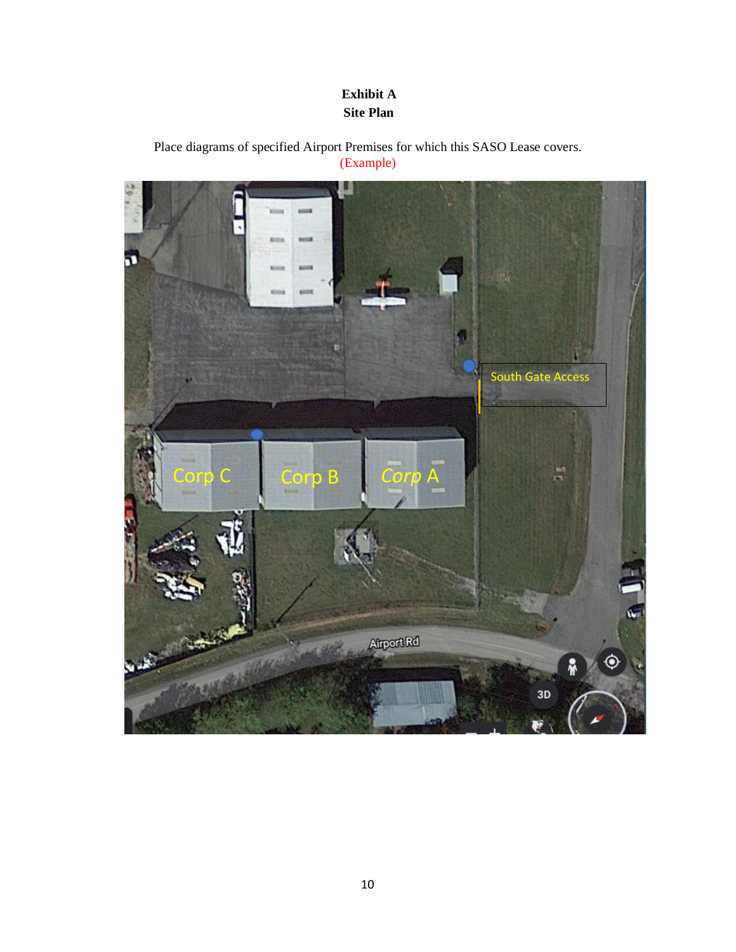## **Exhibit A Site Plan**

Place diagrams of specified Airport Premises for which this SASO Lease covers. (Example)

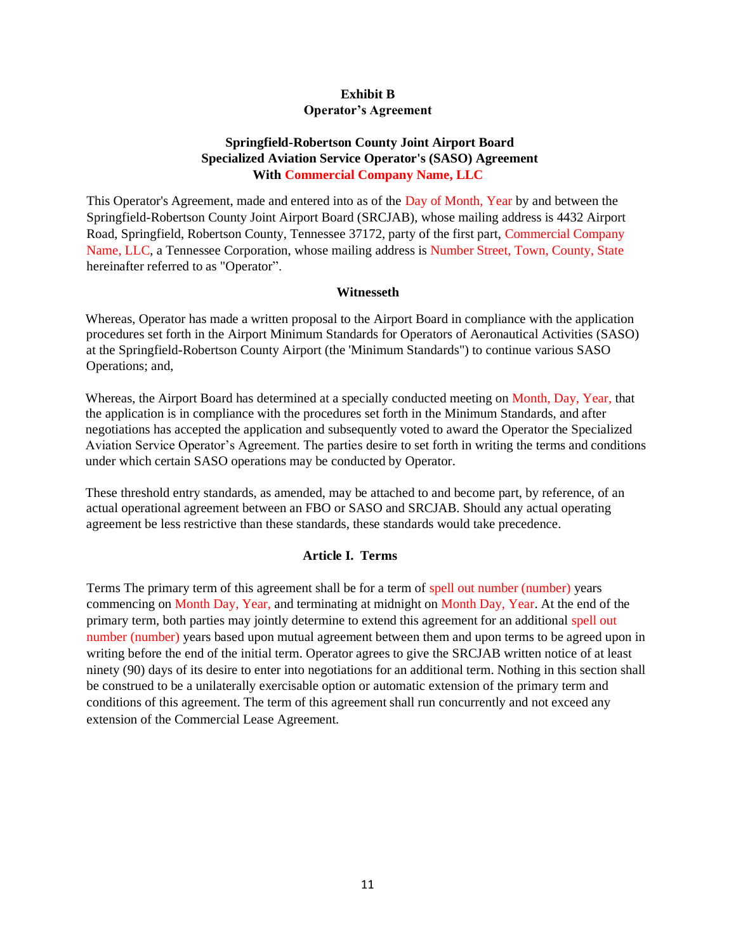### **Exhibit B Operator's Agreement**

## **Springfield-Robertson County Joint Airport Board Specialized Aviation Service Operator's (SASO) Agreement With Commercial Company Name, LLC**

This Operator's Agreement, made and entered into as of the Day of Month, Year by and between the Springfield-Robertson County Joint Airport Board (SRCJAB), whose mailing address is 4432 Airport Road, Springfield, Robertson County, Tennessee 37172, party of the first part, Commercial Company Name, LLC, a Tennessee Corporation, whose mailing address is Number Street, Town, County, State hereinafter referred to as "Operator".

### **Witnesseth**

Whereas, Operator has made a written proposal to the Airport Board in compliance with the application procedures set forth in the Airpor[t Minimum Standards](https://www.srcairport.com/airport-publications) for Operators of Aeronautical Activities (SASO) at the Springfield-Robertson County Airport (the 'Minimum Standards") to continue various SASO Operations; and,

Whereas, the Airport Board has determined at a specially conducted meeting on Month, Day, Year, that the application is in compliance with the procedures set forth in the Minimum Standards, and after negotiations has accepted the application and subsequently voted to award the Operator the Specialized Aviation Service Operator's Agreement. The parties desire to set forth in writing the terms and conditions under which certain SASO operations may be conducted by Operator.

These threshold entry standards, as amended, may be attached to and become part, by reference, of an actual operational agreement between an FBO or SASO and SRCJAB. Should any actual operating agreement be less restrictive than these standards, these standards would take precedence.

### **Article I. Terms**

Terms The primary term of this agreement shall be for a term of spell out number (number) years commencing on Month Day, Year, and terminating at midnight on Month Day, Year. At the end of the primary term, both parties may jointly determine to extend this agreement for an additional spell out number (number) years based upon mutual agreement between them and upon terms to be agreed upon in writing before the end of the initial term. Operator agrees to give the SRCJAB written notice of at least ninety (90) days of its desire to enter into negotiations for an additional term. Nothing in this section shall be construed to be a unilaterally exercisable option or automatic extension of the primary term and conditions of this agreement. The term of this agreement shall run concurrently and not exceed any extension of the Commercial Lease Agreement.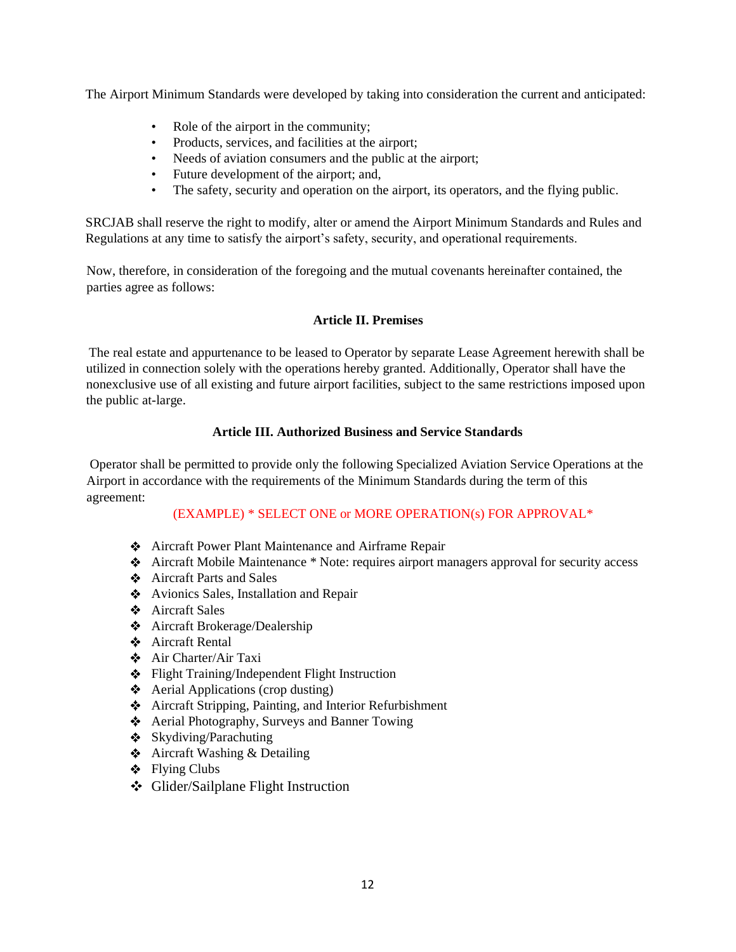The Airport Minimum Standards were developed by taking into consideration the current and anticipated:

- Role of the airport in the community;
- Products, services, and facilities at the airport;
- Needs of aviation consumers and the public at the airport;
- Future development of the airport; and,
- The safety, security and operation on the airport, its operators, and the flying public.

SRCJAB shall reserve the right to modify, alter or amend the Airport Minimum Standards and Rules and Regulations at any time to satisfy the airport's safety, security, and operational requirements.

Now, therefore, in consideration of the foregoing and the mutual covenants hereinafter contained, the parties agree as follows:

## **Article II. Premises**

The real estate and appurtenance to be leased to Operator by separate Lease Agreement herewith shall be utilized in connection solely with the operations hereby granted. Additionally, Operator shall have the nonexclusive use of all existing and future airport facilities, subject to the same restrictions imposed upon the public at-large.

## **Article III. Authorized Business and Service Standards**

Operator shall be permitted to provide only the following Specialized Aviation Service Operations at the Airport in accordance with the requirements of the [Minimum Standards](https://www.srcairport.com/airport-publications) during the term of this agreement:

## (EXAMPLE) \* SELECT ONE or MORE OPERATION(s) FOR APPROVAL\*

- Aircraft Power Plant Maintenance and Airframe Repair
- Aircraft Mobile Maintenance \* Note: requires airport managers approval for security access
- Aircraft Parts and Sales
- ◆ Avionics Sales, Installation and Repair
- Aircraft Sales
- Aircraft Brokerage/Dealership
- Aircraft Rental
- Air Charter/Air Taxi
- Flight Training/Independent Flight Instruction
- $\triangleleft$  Aerial Applications (crop dusting)
- Aircraft Stripping, Painting, and Interior Refurbishment
- Aerial Photography, Surveys and Banner Towing
- $\triangleleft$  Skydiving/Parachuting
- **❖** Aircraft Washing & Detailing
- $\div$  Flying Clubs
- Glider/Sailplane Flight Instruction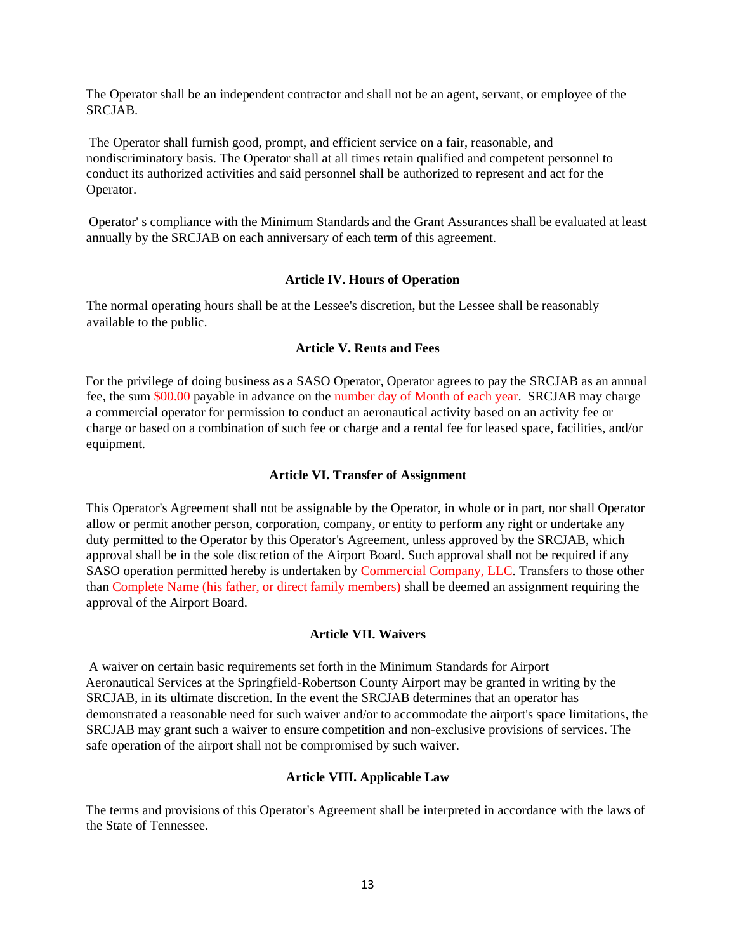The Operator shall be an independent contractor and shall not be an agent, servant, or employee of the SRCJAB.

The Operator shall furnish good, prompt, and efficient service on a fair, reasonable, and nondiscriminatory basis. The Operator shall at all times retain qualified and competent personnel to conduct its authorized activities and said personnel shall be authorized to represent and act for the Operator.

Operator' s compliance with the Minimum Standards and the Grant Assurances shall be evaluated at least annually by the SRCJAB on each anniversary of each term of this agreement.

### **Article IV. Hours of Operation**

The normal operating hours shall be at the Lessee's discretion, but the Lessee shall be reasonably available to the public.

### **Article V. Rents and Fees**

For the privilege of doing business as a SASO Operator, Operator agrees to pay the SRCJAB as an annual fee, the sum \$00.00 payable in advance on the number day of Month of each year. SRCJAB may charge a commercial operator for permission to conduct an aeronautical activity based on an activity fee or charge or based on a combination of such fee or charge and a rental fee for leased space, facilities, and/or equipment.

### **Article VI. Transfer of Assignment**

This Operator's Agreement shall not be assignable by the Operator, in whole or in part, nor shall Operator allow or permit another person, corporation, company, or entity to perform any right or undertake any duty permitted to the Operator by this Operator's Agreement, unless approved by the SRCJAB, which approval shall be in the sole discretion of the Airport Board. Such approval shall not be required if any SASO operation permitted hereby is undertaken by Commercial Company, LLC. Transfers to those other than Complete Name (his father, or direct family members) shall be deemed an assignment requiring the approval of the Airport Board.

### **Article VII. Waivers**

A waiver on certain basic requirements set forth in the Minimum Standards for Airport Aeronautical Services at the Springfield-Robertson County Airport may be granted in writing by the SRCJAB, in its ultimate discretion. In the event the SRCJAB determines that an operator has demonstrated a reasonable need for such waiver and/or to accommodate the airport's space limitations, the SRCJAB may grant such a waiver to ensure competition and non-exclusive provisions of services. The safe operation of the airport shall not be compromised by such waiver.

### **Article VIII. Applicable Law**

The terms and provisions of this Operator's Agreement shall be interpreted in accordance with the laws of the State of Tennessee.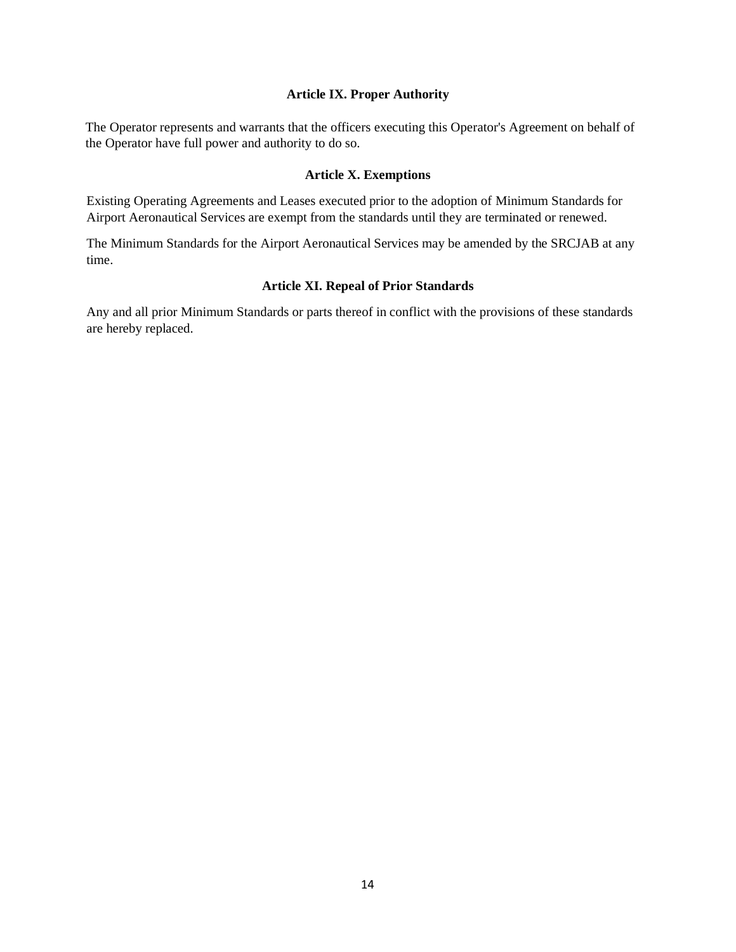### **Article IX. Proper Authority**

The Operator represents and warrants that the officers executing this Operator's Agreement on behalf of the Operator have full power and authority to do so.

### **Article X. Exemptions**

Existing Operating Agreements and Leases executed prior to the adoption of Minimum Standards for Airport Aeronautical Services are exempt from the standards until they are terminated or renewed.

The Minimum Standards for the Airport Aeronautical Services may be amended by the SRCJAB at any time.

### **Article XI. Repeal of Prior Standards**

Any and all prior Minimum Standards or parts thereof in conflict with the provisions of these standards are hereby replaced.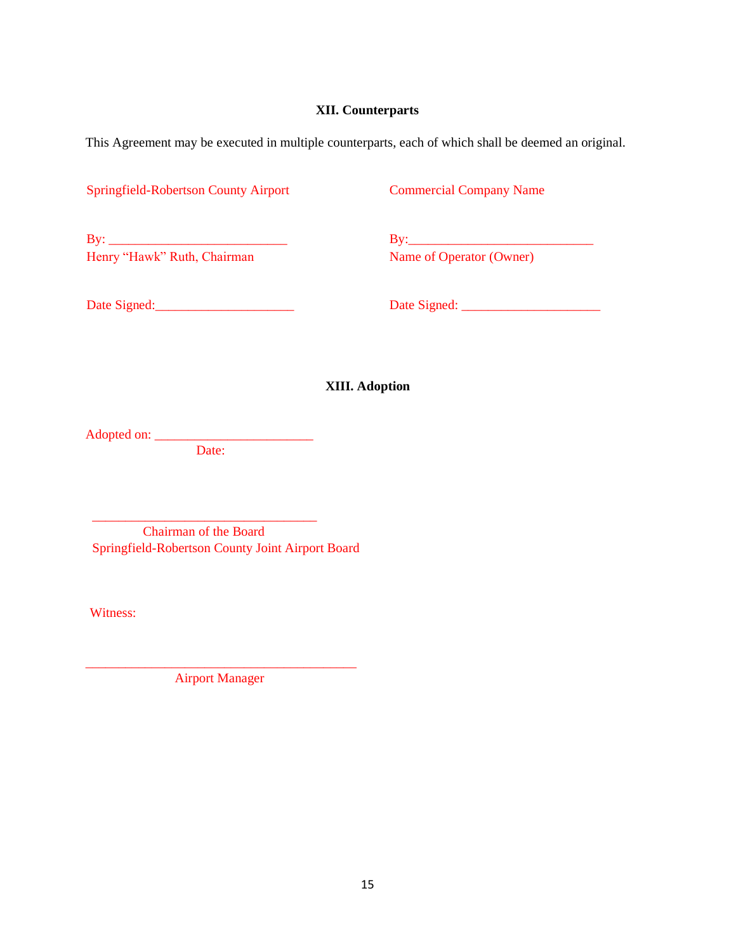### **XII. Counterparts**

This Agreement may be executed in multiple counterparts, each of which shall be deemed an original.

Springfield-Robertson County Airport Commercial Company Name

By: \_\_\_\_\_\_\_\_\_\_\_\_\_\_\_\_\_\_\_\_\_\_\_\_\_\_\_ By:\_\_\_\_\_\_\_\_\_\_\_\_\_\_\_\_\_\_\_\_\_\_\_\_\_\_\_\_ Henry "Hawk" Ruth, Chairman

Date Signed:\_\_\_\_\_\_\_\_\_\_\_\_\_\_\_\_\_\_\_\_\_ Date Signed: \_\_\_\_\_\_\_\_\_\_\_\_\_\_\_\_\_\_\_\_\_

**XIII. Adoption**

Adopted on: \_\_\_\_\_\_\_\_\_\_\_\_\_\_\_\_\_\_\_\_\_\_\_\_

Date:

\_\_\_\_\_\_\_\_\_\_\_\_\_\_\_\_\_\_\_\_\_\_\_\_\_\_\_\_\_\_\_\_\_\_

 Chairman of the Board Springfield-Robertson County Joint Airport Board

Witness:

\_\_\_\_\_\_\_\_\_\_\_\_\_\_\_\_\_\_\_\_\_\_\_\_\_\_\_\_\_\_\_\_\_\_\_\_\_\_\_\_\_ Airport Manager